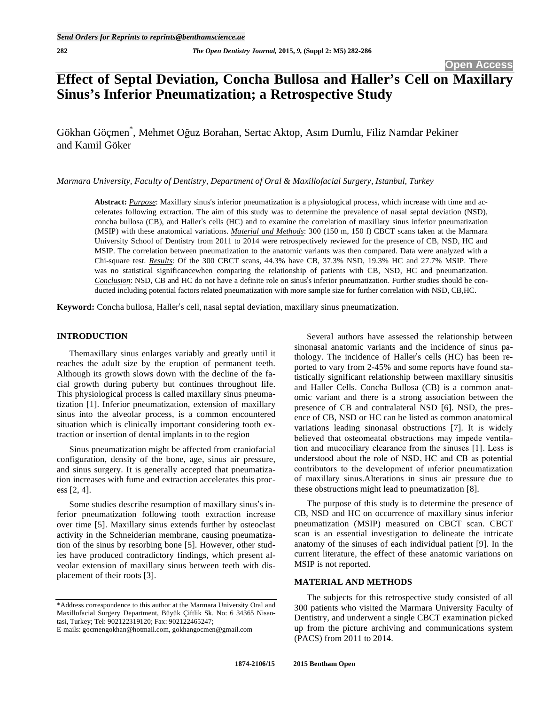# **Effect of Septal Deviation, Concha Bullosa and Haller's Cell on Maxillary Sinus's Inferior Pneumatization; a Retrospective Study**

Gökhan Göçmen<sup>\*</sup>, Mehmet Oğuz Borahan, Sertac Aktop, Asım Dumlu, Filiz Namdar Pekiner and Kamil Göker

*Marmara University, Faculty of Dentistry, Department of Oral & Maxillofacial Surgery, Istanbul, Turkey* 

Abstract: *Purpose*: Maxillary sinus's inferior pneumatization is a physiological process, which increase with time and accelerates following extraction. The aim of this study was to determine the prevalence of nasal septal deviation (NSD), concha bullosa (CB), and Haller's cells (HC) and to examine the correlation of maxillary sinus inferior pneumatization (MSIP) with these anatomical variations. *Material and Methods*: 300 (150 m, 150 f) CBCT scans taken at the Marmara University School of Dentistry from 2011 to 2014 were retrospectively reviewed for the presence of CB, NSD, HC and MSIP. The correlation between pneumatization to the anatomic variants was then compared. Data were analyzed with a Chi-square test. *Results*: Of the 300 CBCT scans, 44.3% have CB, 37.3% NSD, 19.3% HC and 27.7% MSIP. There was no statistical significancewhen comparing the relationship of patients with CB, NSD, HC and pneumatization. *Conclusion*: NSD, CB and HC do not have a definite role on sinus's inferior pneumatization. Further studies should be conducted including potential factors related pneumatization with more sample size for further correlation with NSD, CB,HC.

Keyword: Concha bullosa, Haller's cell, nasal septal deviation, maxillary sinus pneumatization.

## **INTRODUCTION**

Themaxillary sinus enlarges variably and greatly until it reaches the adult size by the eruption of permanent teeth. Although its growth slows down with the decline of the facial growth during puberty but continues throughout life. This physiological process is called maxillary sinus pneumatization [1]. Inferior pneumatization, extension of maxillary sinus into the alveolar process, is a common encountered situation which is clinically important considering tooth extraction or insertion of dental implants in to the region

Sinus pneumatization might be affected from craniofacial configuration, density of the bone, age, sinus air pressure, and sinus surgery. It is generally accepted that pneumatization increases with fume and extraction accelerates this process [2, 4].

Some studies describe resumption of maxillary sinus's inferior pneumatization following tooth extraction increase over time [5]. Maxillary sinus extends further by osteoclast activity in the Schneiderian membrane, causing pneumatization of the sinus by resorbing bone [5]. However, other studies have produced contradictory findings, which present alveolar extension of maxillary sinus between teeth with displacement of their roots [3].

Several authors have assessed the relationship between sinonasal anatomic variants and the incidence of sinus pathology. The incidence of Haller's cells (HC) has been reported to vary from 2-45% and some reports have found statistically significant relationship between maxillary sinusitis and Haller Cells. Concha Bullosa (CB) is a common anatomic variant and there is a strong association between the presence of CB and contralateral NSD [6]. NSD, the presence of CB, NSD or HC can be listed as common anatomical variations leading sinonasal obstructions [7]. It is widely believed that osteomeatal obstructions may impede ventilation and mucociliary clearance from the sinuses [1]. Less is understood about the role of NSD, HC and CB as potential contributors to the development of ınferior pneumatization of maxillary sinus.Alterations in sinus air pressure due to these obstructions might lead to pneumatization [8].

The purpose of this study is to determine the presence of CB, NSD and HC on occurrence of maxillary sinus inferior pneumatization (MSIP) measured on CBCT scan. CBCT scan is an essential investigation to delineate the intricate anatomy of the sinuses of each individual patient [9]. In the current literature, the effect of these anatomic variations on MSIP is not reported.

# **MATERIAL AND METHODS**

The subjects for this retrospective study consisted of all 300 patients who visited the Marmara University Faculty of Dentistry, and underwent a single CBCT examination picked up from the picture archiving and communications system (PACS) from 2011 to 2014.

<sup>\*</sup>Address correspondence to this author at the Marmara University Oral and Maxillofacial Surgery Department, Büyük Çiftlik Sk. No: 6 34365 Nisantasi, Turkey; Tel: 902122319120; Fax: 902122465247;

E-mails: gocmengokhan@hotmail.com, gokhangocmen@gmail.com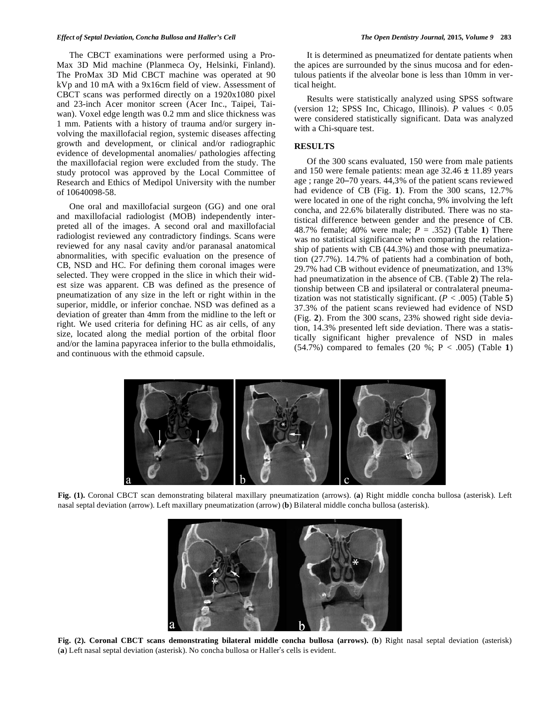#### *Effect of Septal Deviation, Concha Bullosa and Haller's Cell The Open Dentistry Journal,* **2015***, Volume 9* **283**

The CBCT examinations were performed using a Pro-Max 3D Mid machine (Planmeca Oy, Helsinki, Finland). The ProMax 3D Mid CBCT machine was operated at 90 kVp and 10 mA with a 9x16cm field of view. Assessment of CBCT scans was performed directly on a 1920x1080 pixel and 23-inch Acer monitor screen (Acer Inc., Taipei, Taiwan). Voxel edge length was 0.2 mm and slice thickness was 1 mm. Patients with a history of trauma and/or surgery involving the maxillofacial region, systemic diseases affecting growth and development, or clinical and/or radiographic evidence of developmental anomalies/ pathologies affecting the maxillofacial region were excluded from the study. The study protocol was approved by the Local Committee of Research and Ethics of Medipol University with the number of 10640098-58.

One oral and maxillofacial surgeon (GG) and one oral and maxillofacial radiologist (MOB) independently interpreted all of the images. A second oral and maxillofacial radiologist reviewed any contradictory findings. Scans were reviewed for any nasal cavity and/or paranasal anatomical abnormalities, with specific evaluation on the presence of CB, NSD and HC. For defining them coronal images were selected. They were cropped in the slice in which their widest size was apparent. CB was defined as the presence of pneumatization of any size in the left or right within in the superior, middle, or inferior conchae. NSD was defined as a deviation of greater than 4mm from the midline to the left or right. We used criteria for defining HC as air cells, of any size, located along the medial portion of the orbital floor and/or the lamina papyracea inferior to the bulla ethmoidalis, and continuous with the ethmoid capsule.

It is determined as pneumatized for dentate patients when the apices are surrounded by the sinus mucosa and for edentulous patients if the alveolar bone is less than 10mm in vertical height.

Results were statistically analyzed using SPSS software (version 12; SPSS Inc, Chicago, Illinois). *P* values < 0.05 were considered statistically significant. Data was analyzed with a Chi-square test.

# **RESULTS**

Of the 300 scans evaluated, 150 were from male patients and 150 were female patients: mean age  $32.46 \pm 11.89$  years age ; range 20-70 years. 44,3% of the patient scans reviewed had evidence of CB (Fig. **1**). From the 300 scans, 12.7% were located in one of the right concha, 9% involving the left concha, and 22.6% bilaterally distributed. There was no statistical difference between gender and the presence of CB. 48.7% female; 40% were male; *P* = *.*352) (Table **1**) There was no statistical significance when comparing the relationship of patients with CB (44.3%) and those with pneumatization (27.7%). 14.7% of patients had a combination of both, 29.7% had CB without evidence of pneumatization, and 13% had pneumatization in the absence of CB. (Table **2**) The relationship between CB and ipsilateral or contralateral pneumatization was not statistically significant.  $(P < .005)$  (Table 5) 37.3% of the patient scans reviewed had evidence of NSD (Fig. **2**). From the 300 scans, 23% showed right side deviation, 14.3% presented left side deviation. There was a statistically significant higher prevalence of NSD in males (54.7%) compared to females (20 %; P < .005) (Table **1**)



**Fig. (1).** Coronal CBCT scan demonstrating bilateral maxillary pneumatization (arrows). (**a**) Right middle concha bullosa (asterisk). Left nasal septal deviation (arrow). Left maxillary pneumatization (arrow) (**b**) Bilateral middle concha bullosa (asterisk).



**Fig. (2). Coronal CBCT scans demonstrating bilateral middle concha bullosa (arrows).** (**b**) Right nasal septal deviation (asterisk) (a) Left nasal septal deviation (asterisk). No concha bullosa or Haller's cells is evident.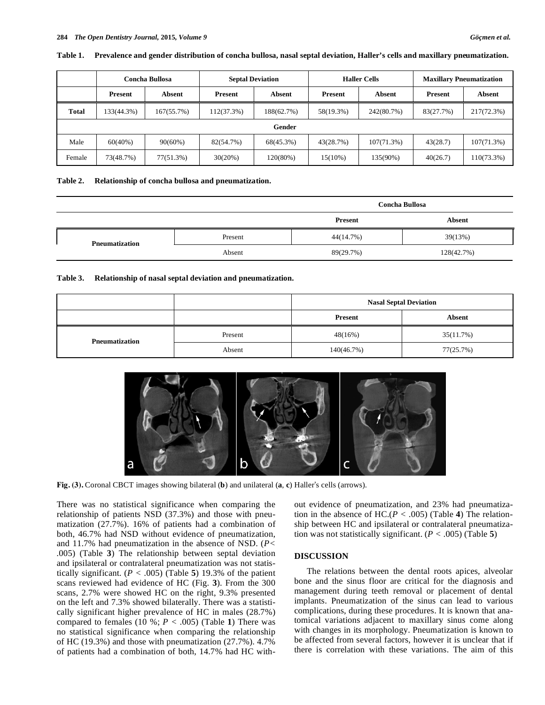|              | Concha Bullosa |            | <b>Septal Deviation</b> |               | <b>Haller Cells</b> |               | <b>Maxillary Pneumatization</b> |            |
|--------------|----------------|------------|-------------------------|---------------|---------------------|---------------|---------------------------------|------------|
|              | Present        | Absent     | Present                 | <b>Absent</b> | Present             | <b>Absent</b> | <b>Present</b>                  | Absent     |
| <b>Total</b> | 133(44.3%)     | 167(55.7%) | 112(37.3%)              | 188(62.7%)    | 58(19.3%)           | 242(80.7%)    | 83(27.7%)                       | 217(72.3%) |
| Gender       |                |            |                         |               |                     |               |                                 |            |
| Male         | $60(40\%)$     | 90(60%)    | 82(54.7%)               | 68(45.3%)     | 43(28.7%)           | 107(71.3%)    | 43(28.7)                        | 107(71.3%) |
| Female       | 73(48.7%)      | 77(51.3%)  | 30(20%)                 | 120(80%)      | $15(10\%)$          | 135(90%)      | 40(26.7)                        | 110(73.3%) |

#### **Table 1. Prevalence and gender distribution of concha bullosa, nasal septal deviation, Haller's cells and maxillary pneumatization.**

#### **Table 2. Relationship of concha bullosa and pneumatization.**

|                       |         | <b>Concha Bullosa</b> |            |  |
|-----------------------|---------|-----------------------|------------|--|
|                       |         | Present               | Absent     |  |
| <b>Pneumatization</b> | Present | 44(14.7%)             | 39(13%)    |  |
|                       | Absent  | 89(29.7%)             | 128(42.7%) |  |

**Table 3. Relationship of nasal septal deviation and pneumatization.** 

|                       |         | <b>Nasal Septal Deviation</b> |           |  |
|-----------------------|---------|-------------------------------|-----------|--|
|                       |         | <b>Present</b>                | Absent    |  |
| <b>Pneumatization</b> | Present | 48(16%)                       | 35(11.7%) |  |
|                       | Absent  | 140(46.7%)                    | 77(25.7%) |  |



Fig. (3). Coronal CBCT images showing bilateral (**b**) and unilateral (**a**, **c**) Haller's cells (arrows).

There was no statistical significance when comparing the relationship of patients NSD (37.3%) and those with pneumatization (27.7%). 16% of patients had a combination of both, 46.7% had NSD without evidence of pneumatization, and 11.7% had pneumatization in the absence of NSD. (*P< .*005) (Table **3**) The relationship between septal deviation and ipsilateral or contralateral pneumatization was not statistically significant.  $(P < .005)$  (Table 5) 19.3% of the patient scans reviewed had evidence of HC (Fig. **3**). From the 300 scans, 2.7% were showed HC on the right, 9.3% presented on the left and 7.3% showed bilaterally. There was a statistically significant higher prevalence of HC in males (28.7%) compared to females  $(10 \%)$ ;  $P < .005$ ) (Table 1) There was no statistical significance when comparing the relationship of HC (19.3%) and those with pneumatization (27.7%). 4.7% of patients had a combination of both, 14.7% had HC without evidence of pneumatization, and 23% had pneumatization in the absence of HC.(*P < .*005) (Table **4**) The relationship between HC and ipsilateral or contralateral pneumatization was not statistically significant. (*P < .*005) (Table **5**)

## **DISCUSSION**

The relations between the dental roots apices, alveolar bone and the sinus floor are critical for the diagnosis and management during teeth removal or placement of dental implants. Pneumatization of the sinus can lead to various complications, during these procedures. It is known that anatomical variations adjacent to maxillary sinus come along with changes in its morphology. Pneumatization is known to be affected from several factors, however it is unclear that if there is correlation with these variations. The aim of this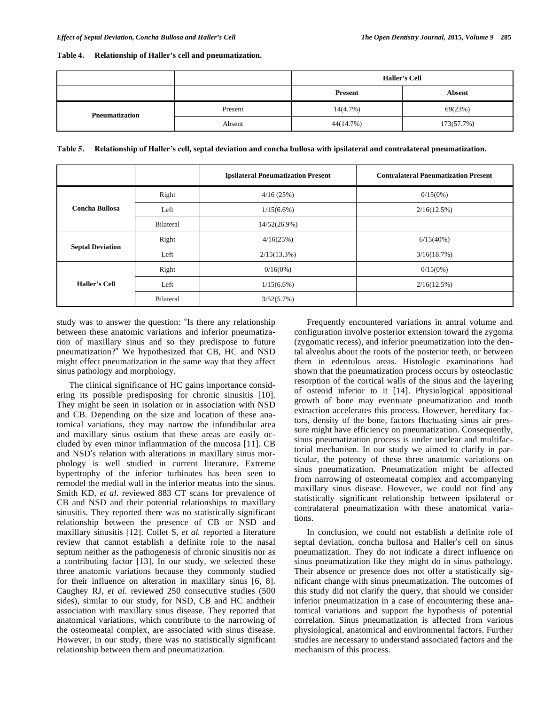## **Table 4. Relationship of Haller's cell and pneumatization.**

|                |         | <b>Haller's Cell</b> |            |
|----------------|---------|----------------------|------------|
|                |         | <b>Present</b>       | Absent     |
| Pneumatization | Present | 14(4.7%)             | 69(23%)    |
|                | Absent  | 44(14.7%)            | 173(57.7%) |

**Table 5. Relationship of Haller's cell, septal deviation and concha bullosa with ipsilateral and contralateral pneumatization.** 

|                         |                  | <b>Ipsilateral Pneumatization Present</b> | <b>Contralateral Pneumatization Present</b> |
|-------------------------|------------------|-------------------------------------------|---------------------------------------------|
|                         | Right            | 4/16(25%)                                 | $0/15(0\%)$                                 |
| Concha Bullosa          | Left             | $1/15(6.6\%)$                             | 2/16(12.5%)                                 |
|                         | <b>Bilateral</b> | 14/52(26.9%)                              |                                             |
| <b>Septal Deviation</b> | Right            | 4/16(25%)                                 | 6/15(40%)                                   |
|                         | Left             | $2/15(13.3\%)$                            | 3/16(18.7%)                                 |
|                         | Right            | $0/16(0\%)$                               | $0/15(0\%)$                                 |
| <b>Haller's Cell</b>    | Left             | $1/15(6.6\%)$                             | 2/16(12.5%)                                 |
|                         | <b>Bilateral</b> | 3/52(5.7%)                                |                                             |

study was to answer the question: "Is there any relationship between these anatomic variations and inferior pneumatization of maxillary sinus and so they predispose to future pneumatization?" We hypothesized that CB, HC and NSD might effect pneumatization in the same way that they affect sinus pathology and morphology.

The clinical significance of HC gains importance considering its possible predisposing for chronic sinusitis [10]. They might be seen in isolation or in association with NSD and CB. Depending on the size and location of these anatomical variations, they may narrow the infundibular area and maxillary sinus ostium that these areas are easily occluded by even minor inflammation of the mucosa [11]. CB and NSD's relation with alterations in maxillary sinus morphology is well studied in current literature. Extreme hypertrophy of the inferior turbinates has been seen to remodel the medial wall in the inferior meatus into the sinus. Smith KD, *et al.* reviewed 883 CT scans for prevalence of CB and NSD and their potential relationships to maxillary sinusitis. They reported there was no statistically significant relationship between the presence of CB or NSD and maxillary sinusitis [12]. Collet S, *et al.* reported a literature review that cannot establish a definite role to the nasal septum neither as the pathogenesis of chronic sinusitis nor as a contributing factor [13]. In our study, we selected these three anatomic variations because they commonly studied for their influence on alteration in maxillary sinus [6, 8]. Caughey RJ, *et al.* reviewed 250 consecutive studies (500 sides), similar to our study, for NSD, CB and HC andtheir association with maxillary sinus disease. They reported that anatomical variations, which contribute to the narrowing of the osteomeatal complex, are associated with sinus disease. However, in our study, there was no statistically significant relationship between them and pneumatization.

Frequently encountered variations in antral volume and configuration involve posterior extension toward the zygoma (zygomatic recess), and inferior pneumatization into the dental alveolus about the roots of the posterior teeth, or between them in edentulous areas. Histologic examinations had shown that the pneumatization process occurs by osteoclastic resorption of the cortical walls of the sinus and the layering of osteoid inferior to it [14]. Physiological appositional growth of bone may eventuate pneumatization and tooth extraction accelerates this process. However, hereditary factors, density of the bone, factors fluctuating sinus air pressure might have efficiency on pneumatization. Consequently, sinus pneumatization process is under unclear and multifactorial mechanism. In our study we aimed to clarify in particular, the potency of these three anatomic variations on sinus pneumatization. Pneumatization might be affected from narrowing of osteomeatal complex and accompanying maxillary sinus disease. However, we could not find any statistically significant relationship between ipsilateral or contralateral pneumatization with these anatomical variations.

In conclusion, we could not establish a definite role of septal deviation, concha bullosa and Haller's cell on sinus pneumatization. They do not indicate a direct influence on sinus pneumatization like they might do in sinus pathology. Their absence or presence does not offer a statistically significant change with sinus pneumatization. The outcomes of this study did not clarify the query, that should we consider inferior pneumatization in a case of encountering these anatomical variations and support the hypothesis of potential correlation. Sinus pneumatization is affected from various physiological, anatomical and environmental factors. Further studies are necessary to understand associated factors and the mechanism of this process.